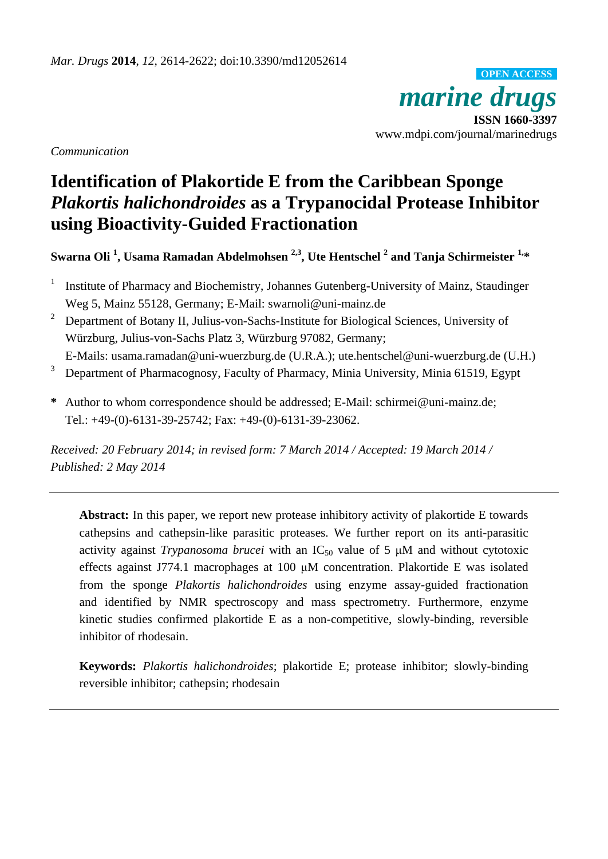*marine drugs* **ISSN 1660-3397** www.mdpi.com/journal/marinedrugs **OPEN ACCESS**

*Communication*

# **Identification of Plakortide E from the Caribbean Sponge**  *Plakortis halichondroides* **as a Trypanocidal Protease Inhibitor using Bioactivity-Guided Fractionation**

**Swarna Oli <sup>1</sup> , Usama Ramadan Abdelmohsen 2,3 , Ute Hentschel <sup>2</sup> and Tanja Schirmeister 1, \***

- 1 Institute of Pharmacy and Biochemistry, Johannes Gutenberg-University of Mainz, Staudinger Weg 5, Mainz 55128, Germany; E-Mail: swarnoli@uni-mainz.de
- <sup>2</sup> Department of Botany II, Julius-von-Sachs-Institute for Biological Sciences, University of Würzburg, Julius-von-Sachs Platz 3, Würzburg 97082, Germany;
- E-Mails: usama.ramadan@uni-wuerzburg.de (U.R.A.); ute.hentschel@uni-wuerzburg.de (U.H.)
- <sup>3</sup> Department of Pharmacognosy, Faculty of Pharmacy, Minia University, Minia 61519, Egypt
- **\*** Author to whom correspondence should be addressed; E-Mail: schirmei@uni-mainz.de; Tel.: +49-(0)-6131-39-25742; Fax: +49-(0)-6131-39-23062.

*Received: 20 February 2014; in revised form: 7 March 2014 / Accepted: 19 March 2014 / Published: 2 May 2014*

**Abstract:** In this paper, we report new protease inhibitory activity of plakortide E towards cathepsins and cathepsin-like parasitic proteases. We further report on its anti-parasitic activity against *Trypanosoma brucei* with an  $IC_{50}$  value of 5  $µM$  and without cytotoxic effects against J774.1 macrophages at 100 μM concentration. Plakortide E was isolated from the sponge *Plakortis halichondroides* using enzyme assay-guided fractionation and identified by NMR spectroscopy and mass spectrometry. Furthermore, enzyme kinetic studies confirmed plakortide E as a non-competitive, slowly-binding, reversible inhibitor of rhodesain.

**Keywords:** *Plakortis halichondroides*; plakortide E; protease inhibitor; slowly-binding reversible inhibitor; cathepsin; rhodesain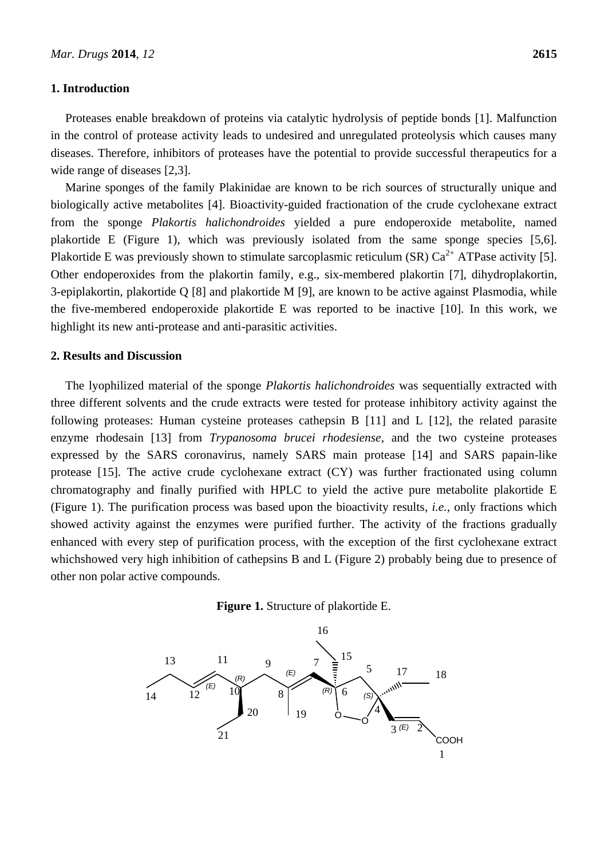#### **1. Introduction**

Proteases enable breakdown of proteins via catalytic hydrolysis of peptide bonds [1]. Malfunction in the control of protease activity leads to undesired and unregulated proteolysis which causes many diseases. Therefore, inhibitors of proteases have the potential to provide successful therapeutics for a wide range of diseases [2,3].

Marine sponges of the family Plakinidae are known to be rich sources of structurally unique and biologically active metabolites [4]. Bioactivity-guided fractionation of the crude cyclohexane extract from the sponge *Plakortis halichondroides* yielded a pure endoperoxide metabolite, named plakortide E (Figure 1), which was previously isolated from the same sponge species [5,6]. Plakortide E was previously shown to stimulate sarcoplasmic reticulum (SR)  $Ca^{2+}$  ATPase activity [5]. Other endoperoxides from the plakortin family, e.g., six-membered plakortin [7], dihydroplakortin, 3-epiplakortin, plakortide Q [8] and plakortide M [9], are known to be active against Plasmodia, while the five-membered endoperoxide plakortide E was reported to be inactive [10]. In this work, we highlight its new anti-protease and anti-parasitic activities.

## **2. Results and Discussion**

The lyophilized material of the sponge *Plakortis halichondroides* was sequentially extracted with three different solvents and the crude extracts were tested for protease inhibitory activity against the following proteases: Human cysteine proteases cathepsin B [11] and L [12], the related parasite enzyme rhodesain [13] from *Trypanosoma brucei rhodesiense*, and the two cysteine proteases expressed by the SARS coronavirus, namely SARS main protease [14] and SARS papain-like protease [15]. The active crude cyclohexane extract (CY) was further fractionated using column chromatography and finally purified with HPLC to yield the active pure metabolite plakortide E (Figure 1). The purification process was based upon the bioactivity results, *i.e.*, only fractions which showed activity against the enzymes were purified further. The activity of the fractions gradually enhanced with every step of purification process, with the exception of the first cyclohexane extract whichshowed very high inhibition of cathepsins B and L (Figure 2) probably being due to presence of other non polar active compounds.



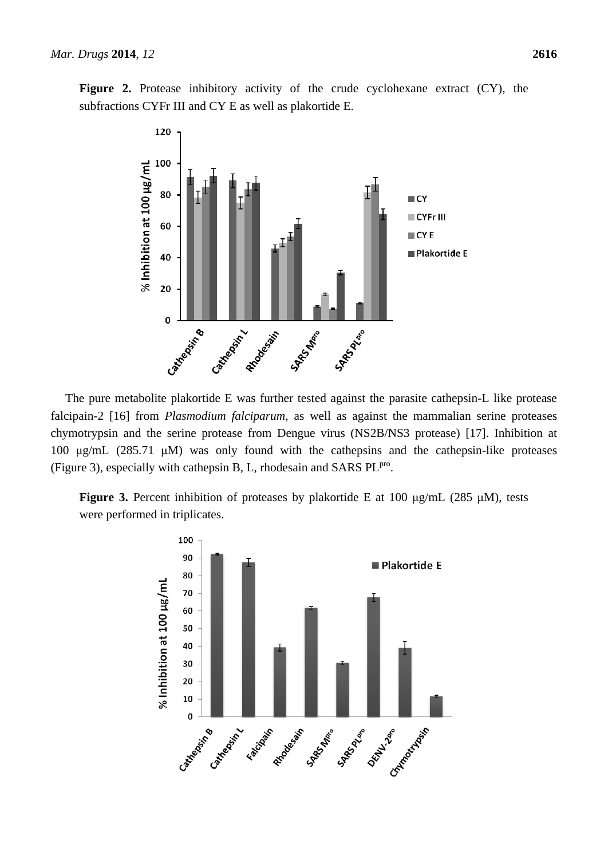



The pure metabolite plakortide E was further tested against the parasite cathepsin-L like protease falcipain-2 [16] from *Plasmodium falciparum*, as well as against the mammalian serine proteases chymotrypsin and the serine protease from Dengue virus (NS2B/NS3 protease) [17]. Inhibition at 100 μg/mL (285.71 μM) was only found with the cathepsins and the cathepsin-like proteases (Figure 3), especially with cathepsin B, L, rhodesain and SARS PL<sup>pro</sup>.

**Figure 3.** Percent inhibition of proteases by plakortide E at 100 μg/mL (285 μM), tests were performed in triplicates.

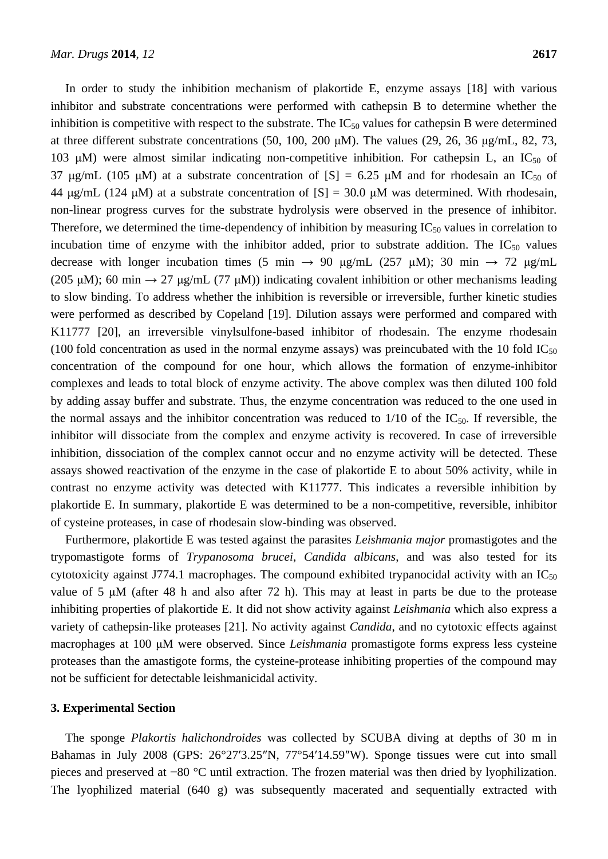In order to study the inhibition mechanism of plakortide E, enzyme assays [18] with various inhibitor and substrate concentrations were performed with cathepsin B to determine whether the inhibition is competitive with respect to the substrate. The  $IC_{50}$  values for cathepsin B were determined at three different substrate concentrations (50, 100, 200 μM). The values (29, 26, 36 μg/mL, 82, 73, 103 μM) were almost similar indicating non-competitive inhibition. For cathepsin L, an IC<sub>50</sub> of 37 μg/mL (105 μM) at a substrate concentration of  $[S] = 6.25$  μM and for rhodesain an IC<sub>50</sub> of 44 μg/mL (124 μM) at a substrate concentration of  $[S] = 30.0$  μM was determined. With rhodesain, non-linear progress curves for the substrate hydrolysis were observed in the presence of inhibitor. Therefore, we determined the time-dependency of inhibition by measuring  $IC_{50}$  values in correlation to incubation time of enzyme with the inhibitor added, prior to substrate addition. The  $IC_{50}$  values decrease with longer incubation times (5 min  $\rightarrow$  90 μg/mL (257 μM); 30 min  $\rightarrow$  72 μg/mL (205 μM); 60 min  $\rightarrow$  27 μg/mL (77 μM)) indicating covalent inhibition or other mechanisms leading to slow binding. To address whether the inhibition is reversible or irreversible, further kinetic studies were performed as described by Copeland [19]. Dilution assays were performed and compared with K11777 [20], an irreversible vinylsulfone-based inhibitor of rhodesain. The enzyme rhodesain (100 fold concentration as used in the normal enzyme assays) was preincubated with the 10 fold  $IC_{50}$ concentration of the compound for one hour, which allows the formation of enzyme-inhibitor complexes and leads to total block of enzyme activity. The above complex was then diluted 100 fold by adding assay buffer and substrate. Thus, the enzyme concentration was reduced to the one used in the normal assays and the inhibitor concentration was reduced to  $1/10$  of the IC<sub>50</sub>. If reversible, the inhibitor will dissociate from the complex and enzyme activity is recovered. In case of irreversible inhibition, dissociation of the complex cannot occur and no enzyme activity will be detected. These assays showed reactivation of the enzyme in the case of plakortide E to about 50% activity, while in contrast no enzyme activity was detected with K11777. This indicates a reversible inhibition by plakortide E. In summary, plakortide E was determined to be a non-competitive, reversible, inhibitor of cysteine proteases, in case of rhodesain slow-binding was observed.

Furthermore, plakortide E was tested against the parasites *Leishmania major* promastigotes and the trypomastigote forms of *Trypanosoma brucei*, *Candida albicans*, and was also tested for its cytotoxicity against J774.1 macrophages. The compound exhibited trypanocidal activity with an  $IC_{50}$ value of 5  $\mu$ M (after 48 h and also after 72 h). This may at least in parts be due to the protease inhibiting properties of plakortide E. It did not show activity against *Leishmania* which also express a variety of cathepsin-like proteases [21]. No activity against *Candida*, and no cytotoxic effects against macrophages at 100 μM were observed. Since *Leishmania* promastigote forms express less cysteine proteases than the amastigote forms, the cysteine-protease inhibiting properties of the compound may not be sufficient for detectable leishmanicidal activity.

#### **3. Experimental Section**

The sponge *Plakortis halichondroides* was collected by SCUBA diving at depths of 30 m in Bahamas in July 2008 (GPS: 26°27′3.25″N, 77°54′14.59″W). Sponge tissues were cut into small pieces and preserved at −80 °C until extraction. The frozen material was then dried by lyophilization. The lyophilized material (640 g) was subsequently macerated and sequentially extracted with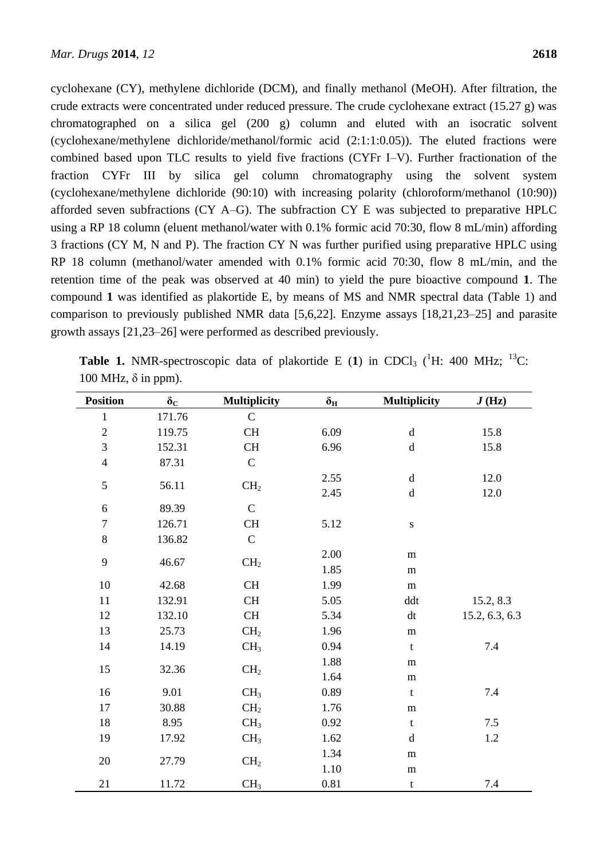cyclohexane (CY), methylene dichloride (DCM), and finally methanol (MeOH). After filtration, the crude extracts were concentrated under reduced pressure. The crude cyclohexane extract (15.27 g) was chromatographed on a silica gel (200 g) column and eluted with an isocratic solvent (cyclohexane/methylene dichloride/methanol/formic acid (2:1:1:0.05)). The eluted fractions were combined based upon TLC results to yield five fractions (CYFr I–V). Further fractionation of the fraction CYFr III by silica gel column chromatography using the solvent system (cyclohexane/methylene dichloride (90:10) with increasing polarity (chloroform/methanol (10:90)) afforded seven subfractions (CY A–G). The subfraction CY E was subjected to preparative HPLC using a RP 18 column (eluent methanol/water with 0.1% formic acid 70:30, flow 8 mL/min) affording 3 fractions (CY M, N and P). The fraction CY N was further purified using preparative HPLC using RP 18 column (methanol/water amended with 0.1% formic acid 70:30, flow 8 mL/min, and the retention time of the peak was observed at 40 min) to yield the pure bioactive compound **1**. The compound **1** was identified as plakortide E, by means of MS and NMR spectral data (Table 1) and comparison to previously published NMR data [5,6,22]. Enzyme assays [18,21,23–25] and parasite growth assays [21,23–26] were performed as described previously.

| 100 mHz, 0 m ppm).      |              |                     |                  |                     |                |
|-------------------------|--------------|---------------------|------------------|---------------------|----------------|
| <b>Position</b>         | $\delta_{C}$ | <b>Multiplicity</b> | $\delta_{\rm H}$ | <b>Multiplicity</b> | J(Hz)          |
| $\mathbf{1}$            | 171.76       | $\mathbf C$         |                  |                     |                |
| $\overline{c}$          | 119.75       | CH                  | 6.09             | $\mathbf d$         | 15.8           |
| $\mathfrak{Z}$          | 152.31       | CH                  | 6.96             | $\rm d$             | 15.8           |
| $\overline{\mathbf{4}}$ | 87.31        | ${\bf C}$           |                  |                     |                |
| 5                       | 56.11        | CH <sub>2</sub>     | 2.55             | $\mathbf d$         | 12.0           |
|                         |              |                     | 2.45             | $\mathbf d$         | 12.0           |
| 6                       | 89.39        | $\mathbf C$         |                  |                     |                |
| $\boldsymbol{7}$        | 126.71       | CH                  | 5.12             | ${\bf S}$           |                |
| $8\,$                   | 136.82       | ${\bf C}$           |                  |                     |                |
| 9                       | 46.67        | CH <sub>2</sub>     | 2.00             | m                   |                |
|                         |              |                     | 1.85             | ${\bf m}$           |                |
| 10                      | 42.68        | CH                  | 1.99             | ${\bf m}$           |                |
| $11\,$                  | 132.91       | CH                  | 5.05             | ddt                 | 15.2, 8.3      |
| 12                      | 132.10       | CH                  | 5.34             | dt                  | 15.2, 6.3, 6.3 |
| 13                      | 25.73        | CH <sub>2</sub>     | 1.96             | ${\bf m}$           |                |
| 14                      | 14.19        | CH <sub>3</sub>     | 0.94             | $\mathbf t$         | 7.4            |
| 15                      | 32.36        | CH <sub>2</sub>     | 1.88             | m                   |                |
|                         |              |                     | 1.64             | ${\bf m}$           |                |
| 16                      | 9.01         | CH <sub>3</sub>     | 0.89             | t                   | 7.4            |
| 17                      | 30.88        | CH <sub>2</sub>     | 1.76             | ${\bf m}$           |                |
| 18                      | 8.95         | CH <sub>3</sub>     | 0.92             | $\mathbf t$         | 7.5            |
| 19                      | 17.92        | CH <sub>3</sub>     | 1.62             | $\mathbf d$         | $1.2\,$        |
| 20                      | 27.79        | CH <sub>2</sub>     | 1.34             | ${\bf m}$           |                |
|                         |              |                     | 1.10             | m                   |                |
| 21                      | 11.72        | CH <sub>3</sub>     | 0.81             | $\mathbf t$         | 7.4            |

**Table 1.** NMR-spectroscopic data of plakortide E (1) in CDCl<sub>3</sub> (<sup>1</sup>H: 400 MHz; <sup>13</sup>C:  $100 \text{ MHz}$ ,  $\delta$  in ppm).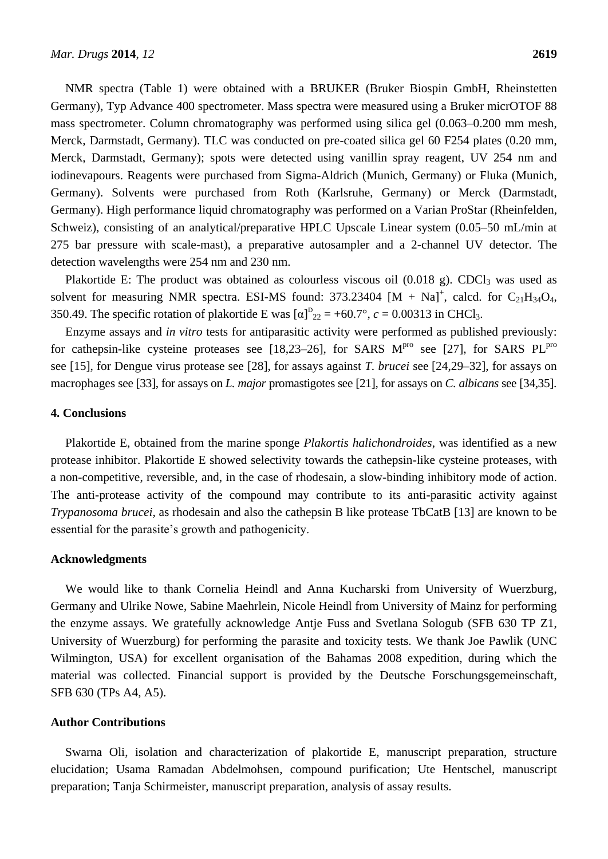NMR spectra (Table 1) were obtained with a BRUKER (Bruker Biospin GmbH, Rheinstetten Germany), Typ Advance 400 spectrometer. Mass spectra were measured using a Bruker micrOTOF 88 mass spectrometer. Column chromatography was performed using silica gel (0.063–0.200 mm mesh, Merck, Darmstadt, Germany). TLC was conducted on pre-coated silica gel 60 F254 plates (0.20 mm, Merck, Darmstadt, Germany); spots were detected using vanillin spray reagent, UV 254 nm and iodinevapours. Reagents were purchased from Sigma-Aldrich (Munich, Germany) or Fluka (Munich, Germany). Solvents were purchased from Roth (Karlsruhe, Germany) or Merck (Darmstadt, Germany). High performance liquid chromatography was performed on a Varian ProStar (Rheinfelden, Schweiz), consisting of an analytical/preparative HPLC Upscale Linear system (0.05–50 mL/min at 275 bar pressure with scale-mast), a preparative autosampler and a 2-channel UV detector. The detection wavelengths were 254 nm and 230 nm.

Plakortide E: The product was obtained as colourless viscous oil  $(0.018 \text{ g})$ . CDCl<sub>3</sub> was used as solvent for measuring NMR spectra. ESI-MS found:  $373.23404$  [M + Na]<sup>+</sup>, calcd. for C<sub>21</sub>H<sub>34</sub>O<sub>4</sub>, 350.49. The specific rotation of plakortide E was  $[\alpha]_{22}^D = +60.7$ ,  $c = 0.00313$  in CHCl<sub>3</sub>.

Enzyme assays and *in vitro* tests for antiparasitic activity were performed as published previously: for cathepsin-like cysteine proteases see [18,23–26], for SARS  $M<sup>pro</sup>$  see [27], for SARS  $PL<sup>pro</sup>$ see [15], for Dengue virus protease see [28], for assays against *T. brucei* see [24,29–32], for assays on macrophages see [33], for assays on *L. major* promastigotes see [21], for assays on *C. albicans* see [34,35].

### **4. Conclusions**

Plakortide E, obtained from the marine sponge *Plakortis halichondroides*, was identified as a new protease inhibitor. Plakortide E showed selectivity towards the cathepsin-like cysteine proteases, with a non-competitive, reversible, and, in the case of rhodesain, a slow-binding inhibitory mode of action. The anti-protease activity of the compound may contribute to its anti-parasitic activity against *Trypanosoma brucei*, as rhodesain and also the cathepsin B like protease TbCatB [13] are known to be essential for the parasite's growth and pathogenicity.

#### **Acknowledgments**

We would like to thank Cornelia Heindl and Anna Kucharski from University of Wuerzburg, Germany and Ulrike Nowe, Sabine Maehrlein, Nicole Heindl from University of Mainz for performing the enzyme assays. We gratefully acknowledge Antje Fuss and Svetlana Sologub (SFB 630 TP Z1, University of Wuerzburg) for performing the parasite and toxicity tests. We thank Joe Pawlik (UNC Wilmington, USA) for excellent organisation of the Bahamas 2008 expedition, during which the material was collected. Financial support is provided by the Deutsche Forschungsgemeinschaft, SFB 630 (TPs A4, A5).

#### **Author Contributions**

Swarna Oli, isolation and characterization of plakortide E, manuscript preparation, structure elucidation; Usama Ramadan Abdelmohsen, compound purification; Ute Hentschel, manuscript preparation; Tanja Schirmeister, manuscript preparation, analysis of assay results.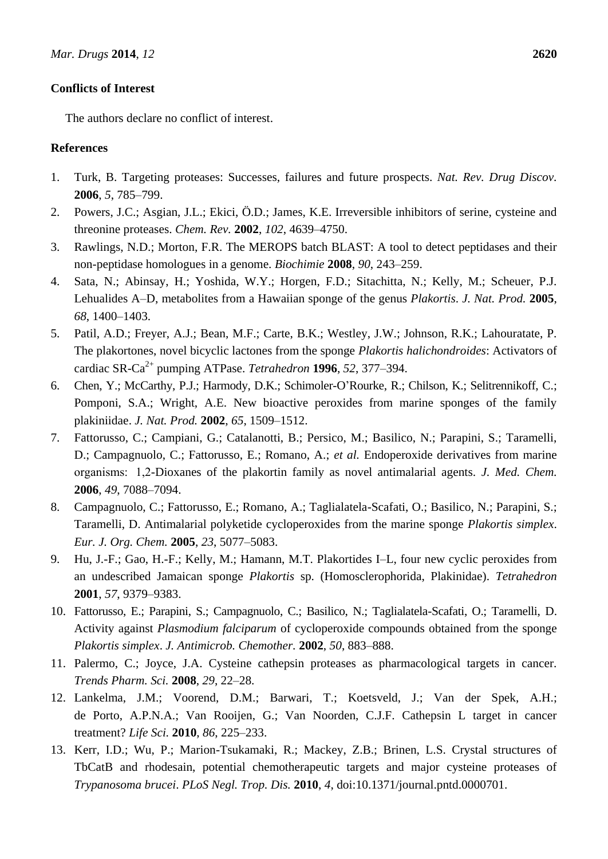# **Conflicts of Interest**

The authors declare no conflict of interest.

# **References**

- 1. Turk, B. Targeting proteases: Successes, failures and future prospects. *Nat. Rev. Drug Discov.* **2006**, *5*, 785–799.
- 2. Powers, J.C.; Asgian, J.L.; Ekici, Ö.D.; James, K.E. Irreversible inhibitors of serine, cysteine and threonine proteases. *Chem. Rev.* **2002**, *102*, 4639–4750.
- 3. Rawlings, N.D.; Morton, F.R. The MEROPS batch BLAST: A tool to detect peptidases and their non-peptidase homologues in a genome. *Biochimie* **2008**, *90*, 243–259.
- 4. Sata, N.; Abinsay, H.; Yoshida, W.Y.; Horgen, F.D.; Sitachitta, N.; Kelly, M.; Scheuer, P.J. Lehualides A–D, metabolites from a Hawaiian sponge of the genus *Plakortis*. *J. Nat. Prod.* **2005**, *68*, 1400–1403.
- 5. Patil, A.D.; Freyer, A.J.; Bean, M.F.; Carte, B.K.; Westley, J.W.; Johnson, R.K.; Lahouratate, P. The plakortones, novel bicyclic lactones from the sponge *Plakortis halichondroides*: Activators of cardiac SR-Ca2+ pumping ATPase. *Tetrahedron* **1996**, *52*, 377–394.
- 6. Chen, Y.; McCarthy, P.J.; Harmody, D.K.; Schimoler-O'Rourke, R.; Chilson, K.; Selitrennikoff, C.; Pomponi, S.A.; Wright, A.E. New bioactive peroxides from marine sponges of the family plakiniidae. *J. Nat. Prod.* **2002**, *65*, 1509–1512.
- 7. Fattorusso, C.; Campiani, G.; Catalanotti, B.; Persico, M.; Basilico, N.; Parapini, S.; Taramelli, D.; Campagnuolo, C.; Fattorusso, E.; Romano, A.; *et al.* Endoperoxide derivatives from marine organisms:  1,2-Dioxanes of the plakortin family as novel antimalarial agents. *J. Med. Chem.*  **2006**, *49*, 7088–7094.
- 8. Campagnuolo, C.; Fattorusso, E.; Romano, A.; Taglialatela-Scafati, O.; Basilico, N.; Parapini, S.; Taramelli, D. Antimalarial polyketide cycloperoxides from the marine sponge *Plakortis simplex*. *Eur. J. Org. Chem.* **2005**, *23*, 5077–5083.
- 9. Hu, J.-F.; Gao, H.-F.; Kelly, M.; Hamann, M.T. Plakortides I–L, four new cyclic peroxides from an undescribed Jamaican sponge *Plakortis* sp. (Homosclerophorida, Plakinidae). *Tetrahedron*  **2001**, *57*, 9379–9383.
- 10. Fattorusso, E.; Parapini, S.; Campagnuolo, C.; Basilico, N.; Taglialatela-Scafati, O.; Taramelli, D. Activity against *Plasmodium falciparum* of cycloperoxide compounds obtained from the sponge *Plakortis simplex*. *J. Antimicrob. Chemother.* **2002**, *50*, 883–888.
- 11. Palermo, C.; Joyce, J.A. Cysteine cathepsin proteases as pharmacological targets in cancer. *Trends Pharm. Sci.* **2008**, *29*, 22–28.
- 12. Lankelma, J.M.; Voorend, D.M.; Barwari, T.; Koetsveld, J.; Van der Spek, A.H.; de Porto, A.P.N.A.; Van Rooijen, G.; Van Noorden, C.J.F. Cathepsin L target in cancer treatment? *Life Sci.* **2010**, *86*, 225–233.
- 13. Kerr, I.D.; Wu, P.; Marion-Tsukamaki, R.; Mackey, Z.B.; Brinen, L.S. Crystal structures of TbCatB and rhodesain, potential chemotherapeutic targets and major cysteine proteases of *Trypanosoma brucei*. *PLoS Negl. Trop. Dis.* **2010**, *4*, doi:10.1371/journal.pntd.0000701.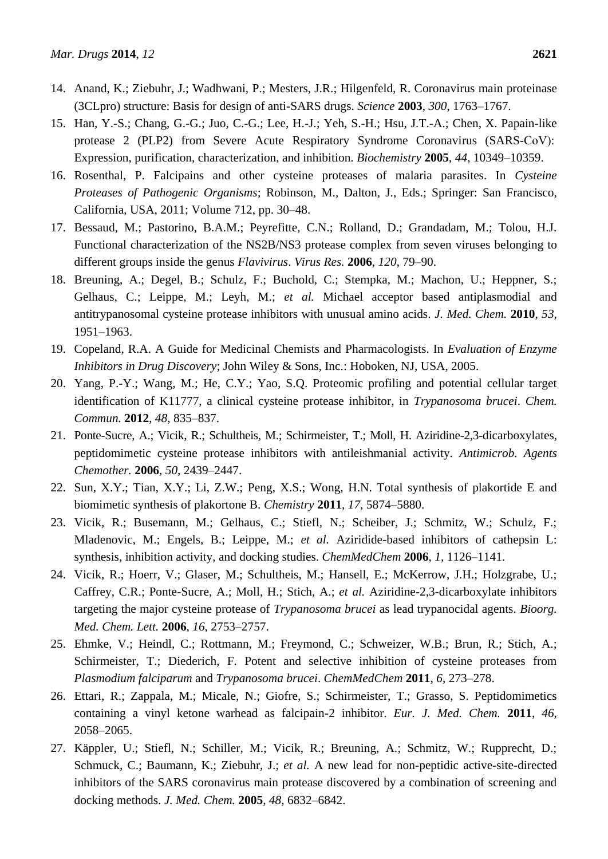- 14. Anand, K.; Ziebuhr, J.; Wadhwani, P.; Mesters, J.R.; Hilgenfeld, R. Coronavirus main proteinase (3CLpro) structure: Basis for design of anti-SARS drugs. *Science* **2003**, *300*, 1763–1767.
- 15. Han, Y.-S.; Chang, G.-G.; Juo, C.-G.; Lee, H.-J.; Yeh, S.-H.; Hsu, J.T.-A.; Chen, X. Papain-like protease 2 (PLP2) from Severe Acute Respiratory Syndrome Coronavirus (SARS-CoV):  Expression, purification, characterization, and inhibition. *Biochemistry* **2005**, *44*, 10349–10359.
- 16. Rosenthal, P. Falcipains and other cysteine proteases of malaria parasites. In *Cysteine Proteases of Pathogenic Organisms*; Robinson, M., Dalton, J., Eds.; Springer: San Francisco, California, USA, 2011; Volume 712, pp. 30–48.
- 17. Bessaud, M.; Pastorino, B.A.M.; Peyrefitte, C.N.; Rolland, D.; Grandadam, M.; Tolou, H.J. Functional characterization of the NS2B/NS3 protease complex from seven viruses belonging to different groups inside the genus *Flavivirus*. *Virus Res.* **2006**, *120*, 79–90.
- 18. Breuning, A.; Degel, B.; Schulz, F.; Buchold, C.; Stempka, M.; Machon, U.; Heppner, S.; Gelhaus, C.; Leippe, M.; Leyh, M.; *et al.* Michael acceptor based antiplasmodial and antitrypanosomal cysteine protease inhibitors with unusual amino acids. *J. Med. Chem.* **2010**, *53*, 1951–1963.
- 19. Copeland, R.A. A Guide for Medicinal Chemists and Pharmacologists. In *Evaluation of Enzyme Inhibitors in Drug Discovery*; John Wiley & Sons, Inc.: Hoboken, NJ, USA, 2005.
- 20. Yang, P.-Y.; Wang, M.; He, C.Y.; Yao, S.Q. Proteomic profiling and potential cellular target identification of K11777, a clinical cysteine protease inhibitor, in *Trypanosoma brucei*. *Chem. Commun.* **2012**, *48*, 835–837.
- 21. Ponte-Sucre, A.; Vicik, R.; Schultheis, M.; Schirmeister, T.; Moll, H. Aziridine-2,3-dicarboxylates, peptidomimetic cysteine protease inhibitors with antileishmanial activity. *Antimicrob. Agents Chemother.* **2006**, *50*, 2439–2447.
- 22. Sun, X.Y.; Tian, X.Y.; Li, Z.W.; Peng, X.S.; Wong, H.N. Total synthesis of plakortide E and biomimetic synthesis of plakortone B. *Chemistry* **2011**, *17*, 5874–5880.
- 23. Vicik, R.; Busemann, M.; Gelhaus, C.; Stiefl, N.; Scheiber, J.; Schmitz, W.; Schulz, F.; Mladenovic, M.; Engels, B.; Leippe, M.; *et al.* Aziridide-based inhibitors of cathepsin L: synthesis, inhibition activity, and docking studies. *ChemMedChem* **2006**, *1*, 1126–1141.
- 24. Vicik, R.; Hoerr, V.; Glaser, M.; Schultheis, M.; Hansell, E.; McKerrow, J.H.; Holzgrabe, U.; Caffrey, C.R.; Ponte-Sucre, A.; Moll, H.; Stich, A.; *et al.* Aziridine-2,3-dicarboxylate inhibitors targeting the major cysteine protease of *Trypanosoma brucei* as lead trypanocidal agents. *Bioorg. Med. Chem. Lett.* **2006**, *16*, 2753–2757.
- 25. Ehmke, V.; Heindl, C.; Rottmann, M.; Freymond, C.; Schweizer, W.B.; Brun, R.; Stich, A.; Schirmeister, T.; Diederich, F. Potent and selective inhibition of cysteine proteases from *Plasmodium falciparum* and *Trypanosoma brucei*. *ChemMedChem* **2011**, *6*, 273–278.
- 26. Ettari, R.; Zappala, M.; Micale, N.; Giofre, S.; Schirmeister, T.; Grasso, S. Peptidomimetics containing a vinyl ketone warhead as falcipain-2 inhibitor. *Eur. J. Med. Chem.* **2011**, *46*, 2058–2065.
- 27. Käppler, U.; Stiefl, N.; Schiller, M.; Vicik, R.; Breuning, A.; Schmitz, W.; Rupprecht, D.; Schmuck, C.; Baumann, K.; Ziebuhr, J.; *et al.* A new lead for non-peptidic active-site-directed inhibitors of the SARS coronavirus main protease discovered by a combination of screening and docking methods. *J. Med. Chem.* **2005**, *48*, 6832–6842.